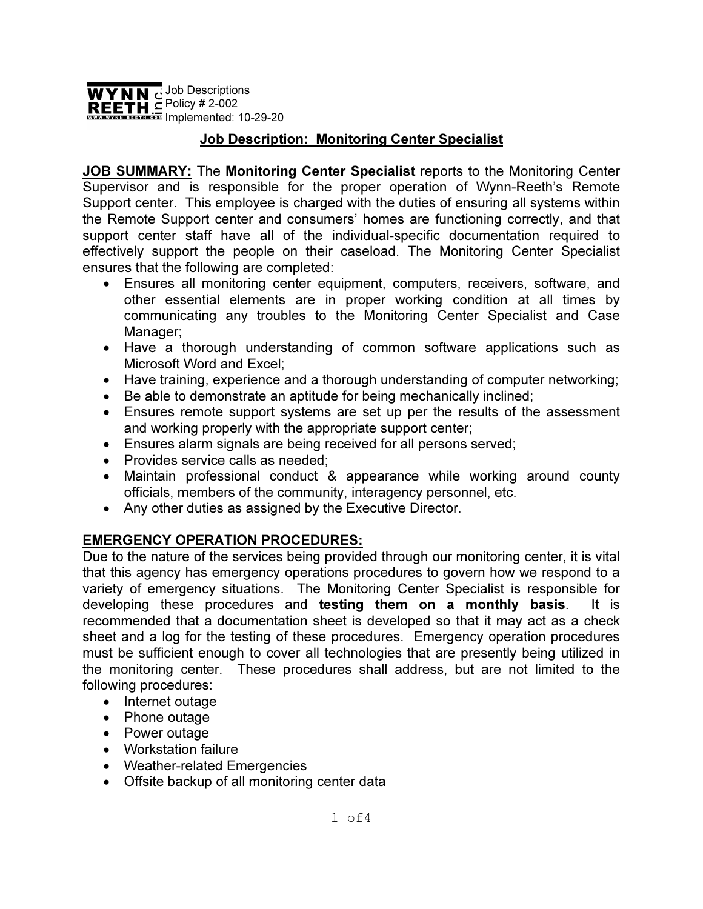

# Job Description: Monitoring Center Specialist

JOB SUMMARY: The Monitoring Center Specialist reports to the Monitoring Center Supervisor and is responsible for the proper operation of Wynn-Reeth's Remote Support center. This employee is charged with the duties of ensuring all systems within the Remote Support center and consumers' homes are functioning correctly, and that support center staff have all of the individual-specific documentation required to effectively support the people on their caseload. The Monitoring Center Specialist ensures that the following are completed:

- Ensures all monitoring center equipment, computers, receivers, software, and other essential elements are in proper working condition at all times by communicating any troubles to the Monitoring Center Specialist and Case Manager;
- Have a thorough understanding of common software applications such as Microsoft Word and Excel;
- Have training, experience and a thorough understanding of computer networking;
- Be able to demonstrate an aptitude for being mechanically inclined;
- Ensures remote support systems are set up per the results of the assessment and working properly with the appropriate support center;
- Ensures alarm signals are being received for all persons served;
- Provides service calls as needed;
- Maintain professional conduct & appearance while working around county officials, members of the community, interagency personnel, etc.
- Any other duties as assigned by the Executive Director.

# EMERGENCY OPERATION PROCEDURES:

Due to the nature of the services being provided through our monitoring center, it is vital that this agency has emergency operations procedures to govern how we respond to a variety of emergency situations. The Monitoring Center Specialist is responsible for developing these procedures and testing them on a monthly basis. It is recommended that a documentation sheet is developed so that it may act as a check sheet and a log for the testing of these procedures. Emergency operation procedures must be sufficient enough to cover all technologies that are presently being utilized in the monitoring center. These procedures shall address, but are not limited to the following procedures:

- Internet outage
- Phone outage
- Power outage
- Workstation failure
- Weather-related Emergencies
- Offsite backup of all monitoring center data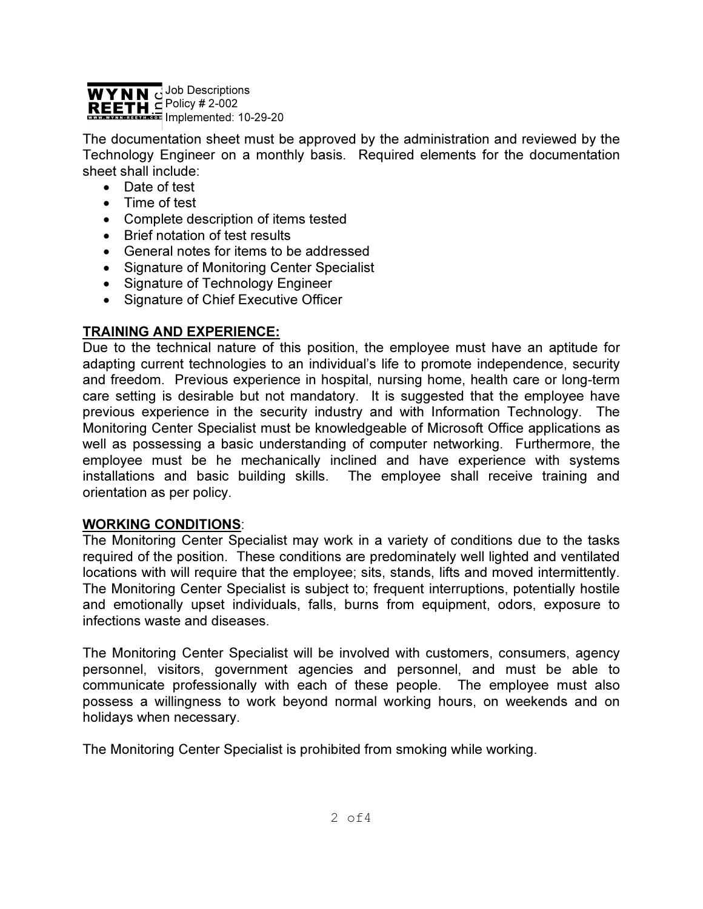

The documentation sheet must be approved by the administration and reviewed by the Technology Engineer on a monthly basis. Required elements for the documentation sheet shall include:

- Date of test
- Time of test
- Complete description of items tested
- Brief notation of test results
- General notes for items to be addressed
- Signature of Monitoring Center Specialist
- Signature of Technology Engineer
- Signature of Chief Executive Officer

## TRAINING AND EXPERIENCE:

Due to the technical nature of this position, the employee must have an aptitude for adapting current technologies to an individual's life to promote independence, security and freedom. Previous experience in hospital, nursing home, health care or long-term care setting is desirable but not mandatory. It is suggested that the employee have previous experience in the security industry and with Information Technology. The Monitoring Center Specialist must be knowledgeable of Microsoft Office applications as well as possessing a basic understanding of computer networking. Furthermore, the employee must be he mechanically inclined and have experience with systems installations and basic building skills. The employee shall receive training and orientation as per policy.

### WORKING CONDITIONS:

The Monitoring Center Specialist may work in a variety of conditions due to the tasks required of the position. These conditions are predominately well lighted and ventilated locations with will require that the employee; sits, stands, lifts and moved intermittently. The Monitoring Center Specialist is subject to; frequent interruptions, potentially hostile and emotionally upset individuals, falls, burns from equipment, odors, exposure to infections waste and diseases.

The Monitoring Center Specialist will be involved with customers, consumers, agency personnel, visitors, government agencies and personnel, and must be able to communicate professionally with each of these people. The employee must also possess a willingness to work beyond normal working hours, on weekends and on holidays when necessary.

The Monitoring Center Specialist is prohibited from smoking while working.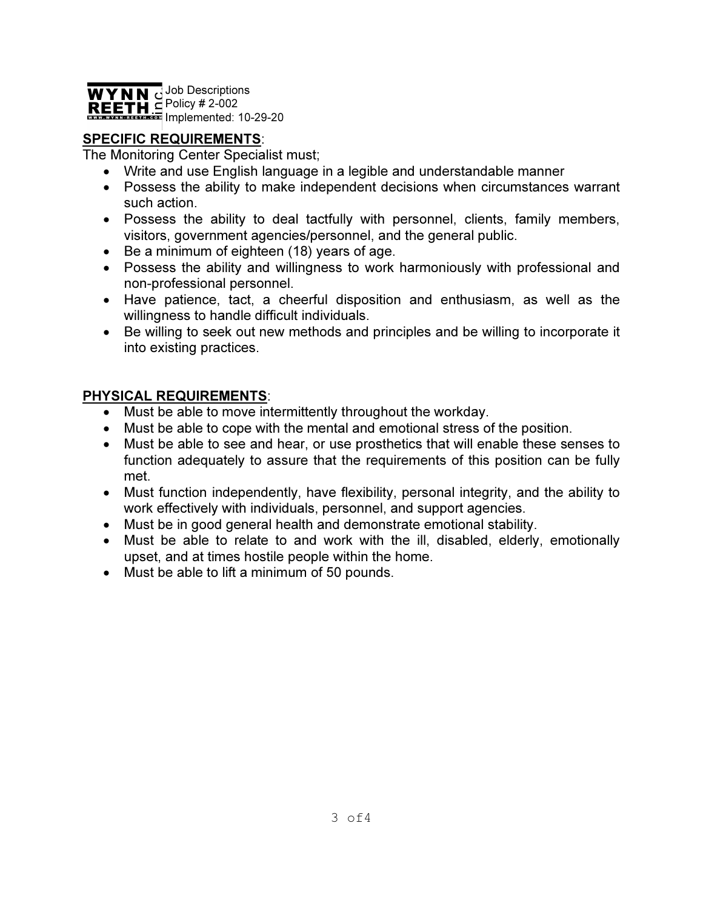

#### SPECIFIC REQUIREMENTS:

The Monitoring Center Specialist must;

- Write and use English language in a legible and understandable manner
- Possess the ability to make independent decisions when circumstances warrant such action.
- Possess the ability to deal tactfully with personnel, clients, family members, visitors, government agencies/personnel, and the general public.
- Be a minimum of eighteen (18) years of age.
- Possess the ability and willingness to work harmoniously with professional and non-professional personnel.
- Have patience, tact, a cheerful disposition and enthusiasm, as well as the willingness to handle difficult individuals.
- Be willing to seek out new methods and principles and be willing to incorporate it into existing practices.

### PHYSICAL REQUIREMENTS:

- Must be able to move intermittently throughout the workday.
- Must be able to cope with the mental and emotional stress of the position.
- Must be able to see and hear, or use prosthetics that will enable these senses to function adequately to assure that the requirements of this position can be fully met.
- Must function independently, have flexibility, personal integrity, and the ability to work effectively with individuals, personnel, and support agencies.
- Must be in good general health and demonstrate emotional stability.
- Must be able to relate to and work with the ill, disabled, elderly, emotionally upset, and at times hostile people within the home.
- Must be able to lift a minimum of 50 pounds.